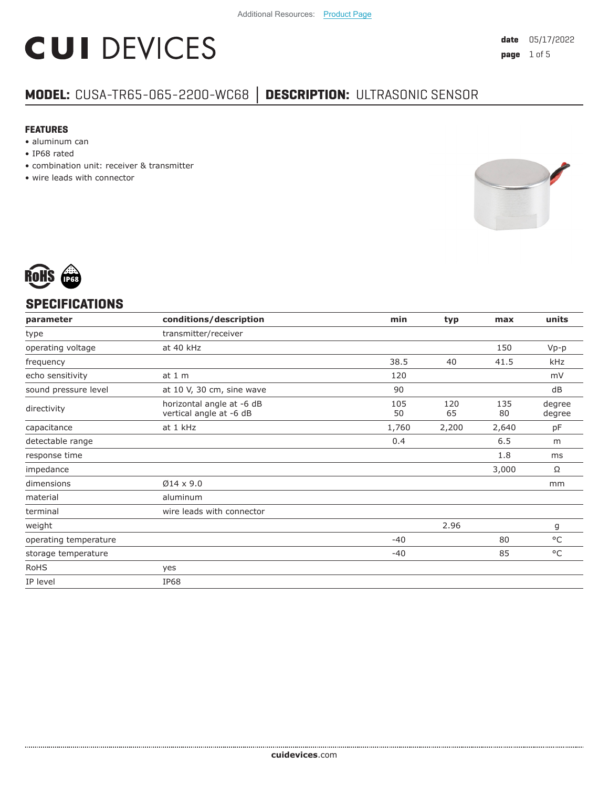# **CUI DEVICES**

### **MODEL:** CUSA-TR65-065-2200-WC68 **│ DESCRIPTION:** ULTRASONIC SENSOR

#### **FEATURES**

- aluminum can
- IP68 rated
- combination unit: receiver & transmitter
- wire leads with connector





#### **SPECIFICATIONS**

| parameter             | conditions/description                               | min       | typ       | max       | units            |
|-----------------------|------------------------------------------------------|-----------|-----------|-----------|------------------|
| type                  | transmitter/receiver                                 |           |           |           |                  |
| operating voltage     | at 40 kHz                                            |           |           | 150       | $Vp-p$           |
| frequency             |                                                      | 38.5      | 40        | 41.5      | kHz              |
| echo sensitivity      | at 1 m                                               | 120       |           |           | mV               |
| sound pressure level  | at 10 V, 30 cm, sine wave                            | 90        |           |           | dB               |
| directivity           | horizontal angle at -6 dB<br>vertical angle at -6 dB | 105<br>50 | 120<br>65 | 135<br>80 | degree<br>degree |
| capacitance           | at 1 kHz                                             | 1,760     | 2,200     | 2,640     | рF               |
| detectable range      |                                                      | 0.4       |           | 6.5       | m                |
| response time         |                                                      |           |           | 1.8       | ms               |
| impedance             |                                                      |           |           | 3,000     | Ω                |
| dimensions            | $\varnothing$ 14 x 9.0                               |           |           |           | mm               |
| material              | aluminum                                             |           |           |           |                  |
| terminal              | wire leads with connector                            |           |           |           |                  |
| weight                |                                                      |           | 2.96      |           | g                |
| operating temperature |                                                      | $-40$     |           | 80        | $^{\circ}$ C     |
| storage temperature   |                                                      | $-40$     |           | 85        | $^{\circ}$ C     |
| <b>RoHS</b>           | yes                                                  |           |           |           |                  |
| IP level              | <b>IP68</b>                                          |           |           |           |                  |
|                       |                                                      |           |           |           |                  |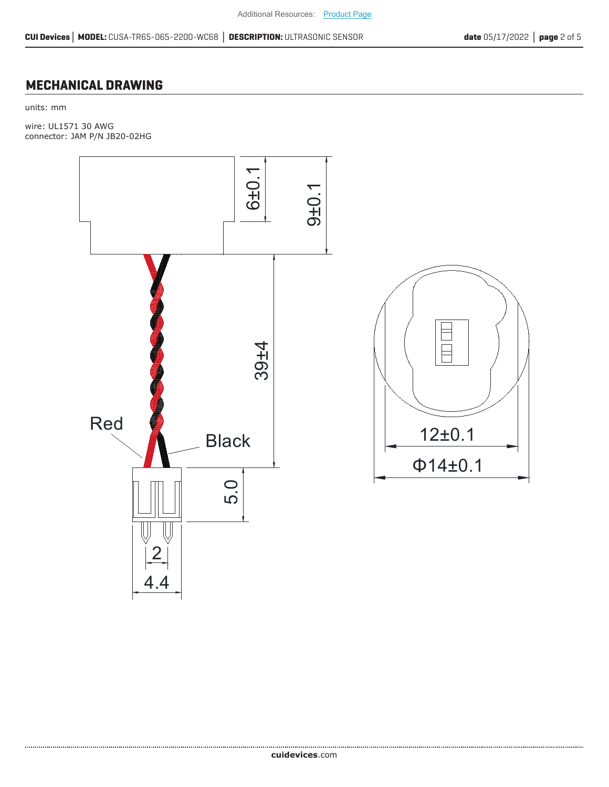#### **MECHANICAL DRAWING**

units: mm

wire: UL1571 30 AWG connector: JAM P/N JB20-02HG

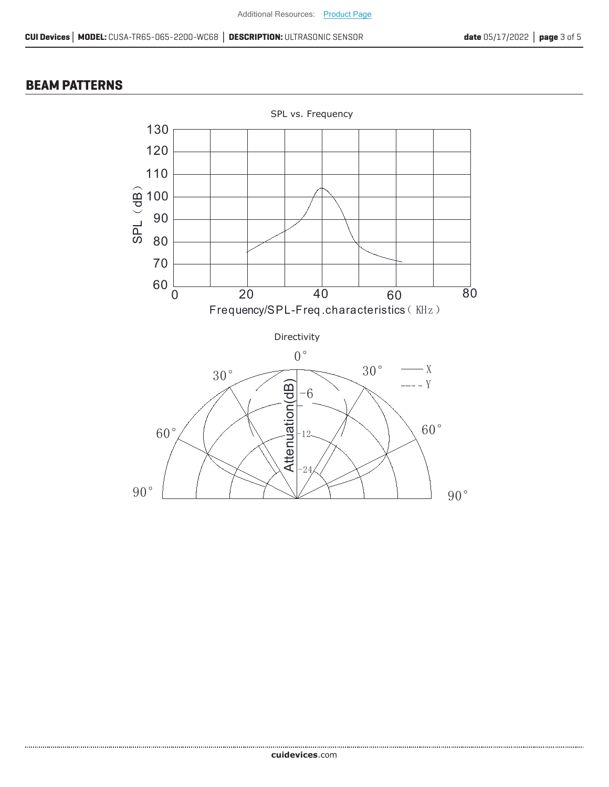#### **BEAM PATTERNS**

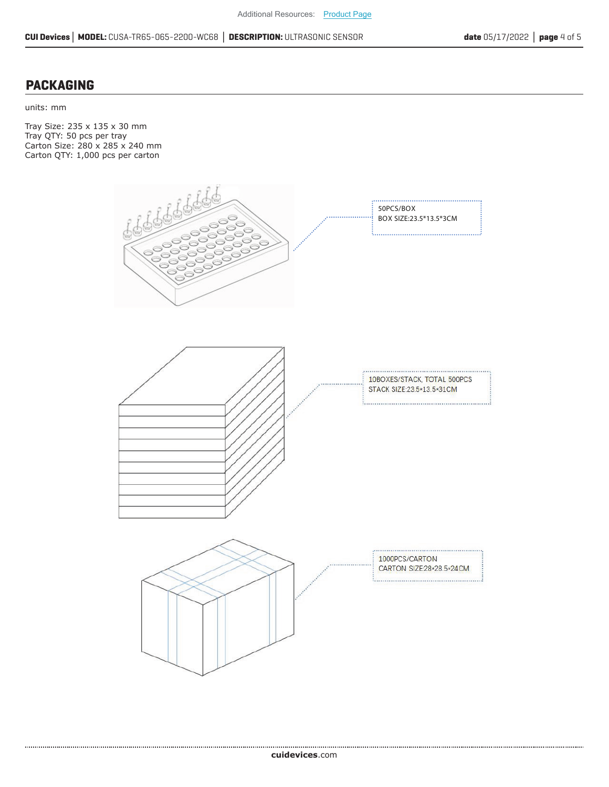#### **PACKAGING**

units: mm

Tray Size: 235 x 135 x 30 mm Tray QTY: 50 pcs per tray Carton Size: 280 x 285 x 240 mm Carton QTY: 1,000 pcs per carton